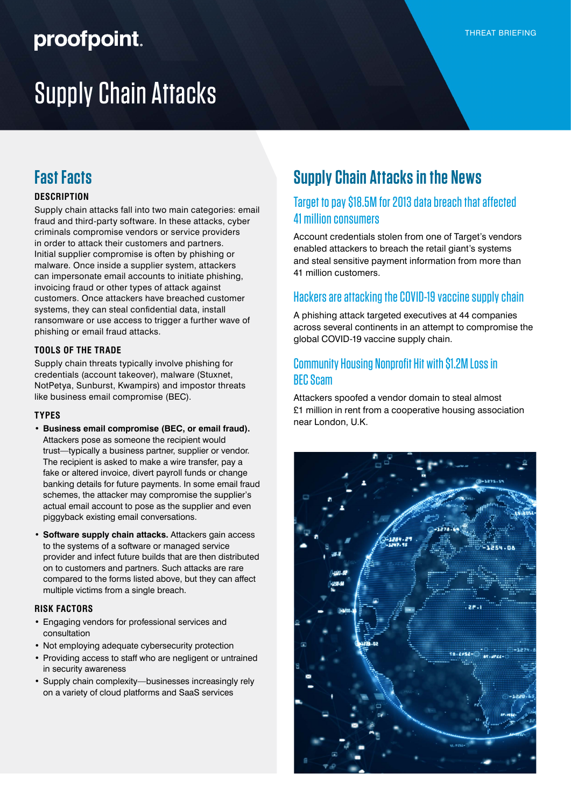## proofpoint.

# Supply Chain Attacks

### **Fast Facts**

#### **DESCRIPTION**

Supply chain attacks fall into two main categories: email fraud and third-party software. In these attacks, cyber criminals compromise vendors or service providers in order to attack their customers and partners. Initial supplier compromise is often by phishing or malware. Once inside a supplier system, attackers can impersonate email accounts to initiate phishing, invoicing fraud or other types of attack against customers. Once attackers have breached customer systems, they can steal confidential data, install ransomware or use access to trigger a further wave of phishing or email fraud attacks.

#### **TOOLS OF THE TRADE**

Supply chain threats typically involve phishing for credentials (account takeover), malware (Stuxnet, NotPetya, Sunburst, Kwampirs) and impostor threats like business email compromise (BEC).

#### **TYPES**

- **• Business email compromise (BEC, or email fraud).** Attackers pose as someone the recipient would trust—typically a business partner, supplier or vendor. The recipient is asked to make a wire transfer, pay a fake or altered invoice, divert payroll funds or change banking details for future payments. In some email fraud schemes, the attacker may compromise the supplier's actual email account to pose as the supplier and even piggyback existing email conversations.
- **• Software supply chain attacks.** Attackers gain access to the systems of a software or managed service provider and infect future builds that are then distributed on to customers and partners. Such attacks are rare compared to the forms listed above, but they can affect multiple victims from a single breach.

#### **RISK FACTORS**

- Engaging vendors for professional services and consultation
- Not employing adequate cybersecurity protection
- Providing access to staff who are negligent or untrained in security awareness
- Supply chain complexity—businesses increasingly rely on a variety of cloud platforms and SaaS services

### **Supply Chain Attacks in the News**

#### [Target to pay \\$18.5M for 2013 data breach that affected](https://www.usatoday.com/story/money/2017/05/23/target-pay-185m-2013-data-breach-affected-consumers/102063932/)  [41 million consumers](https://www.usatoday.com/story/money/2017/05/23/target-pay-185m-2013-data-breach-affected-consumers/102063932/)

Account credentials stolen from one of Target's vendors enabled attackers to breach the retail giant's systems and steal sensitive payment information from more than 41 million customers.

#### [Hackers are attacking the COVID-19 vaccine supply chain](https://www.cbsnews.com/news/covid-19-vaccine-hackers-supply-chain/)

A phishing attack targeted executives at 44 companies across several continents in an attempt to compromise the global COVID-19 vaccine supply chain.

#### [Community Housing Nonprofit Hit with \\$1.2M Loss in](https://threatpost.com/community-housing-nonprofit-bec-scam/152563/)  [BEC Scam](https://threatpost.com/community-housing-nonprofit-bec-scam/152563/)

Attackers spoofed a vendor domain to steal almost £1 million in rent from a cooperative housing association near London, U.K.

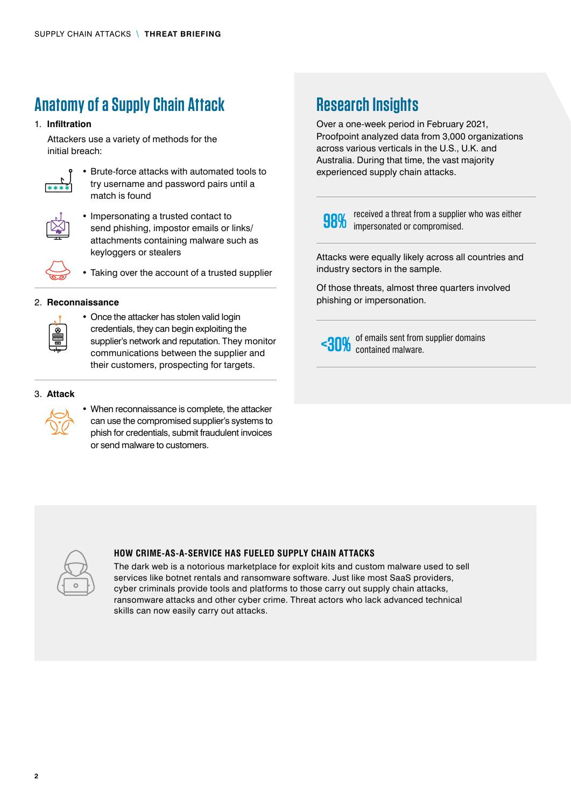### **Anatomy of a Supply Chain Attack**

#### 1. **Infiltration**

Attackers use a variety of methods for the initial breach:



• Brute-force attacks with automated tools to try username and password pairs until a match is found



• Impersonating a trusted contact to send phishing, impostor emails or links/ attachments containing malware such as keyloggers or stealers



• Taking over the account of a trusted supplier

#### 2. **Reconnaissance**



• Once the attacker has stolen valid login credentials, they can begin exploiting the supplier's network and reputation. They monitor communications between the supplier and their customers, prospecting for targets.

#### 3. **Attack**



• When reconnaissance is complete, the attacker can use the compromised supplier's systems to phish for credentials, submit fraudulent invoices or send malware to customers.

### **Research Insights**

Over a one-week period in February 2021, Proofpoint analyzed data from 3,000 organizations across various verticals in the U.S., U.K. and Australia. During that time, the vast majority experienced supply chain attacks.

**980**% received a threat from a supplier who was either impersonated or compromised.

Attacks were equally likely across all countries and industry sectors in the sample.

Of those threats, almost three quarters involved phishing or impersonation.

<30% of emails sent from supplier domains contained malware.



#### **HOW CRIME-AS-A-SERVICE HAS FUELED SUPPLY CHAIN ATTACKS**

The dark web is a notorious marketplace for exploit kits and custom malware used to sell services like botnet rentals and ransomware software. Just like most SaaS providers, cyber criminals provide tools and platforms to those carry out supply chain attacks, ransomware attacks and other cyber crime. Threat actors who lack advanced technical skills can now easily carry out attacks.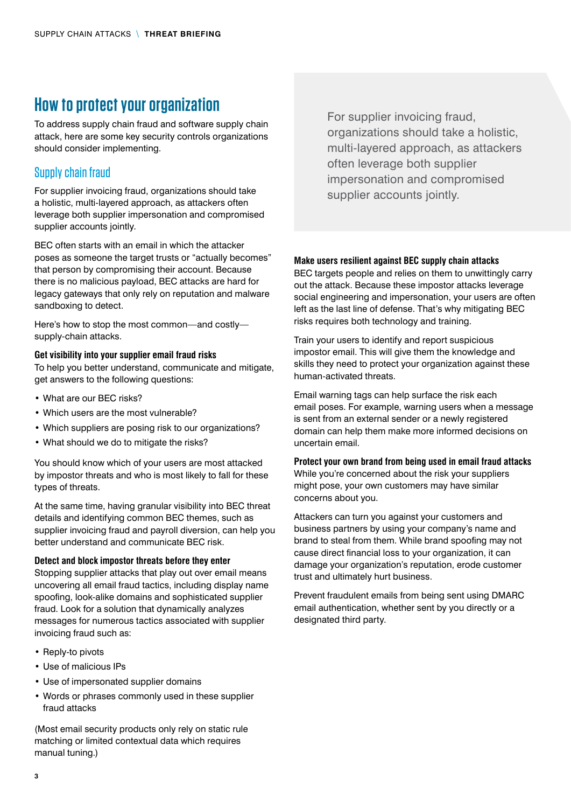### **How to protect your organization**

To address supply chain fraud and software supply chain attack, here are some key security controls organizations should consider implementing.

#### Supply chain fraud

For supplier invoicing fraud, organizations should take a holistic, multi-layered approach, as attackers often leverage both supplier impersonation and compromised supplier accounts jointly.

BEC often starts with an email in which the attacker poses as someone the target trusts or "actually becomes" that person by compromising their account. Because there is no malicious payload, BEC attacks are hard for legacy gateways that only rely on reputation and malware sandboxing to detect.

Here's how to stop the most common—and costly supply-chain attacks.

#### **Get visibility into your supplier email fraud risks**

To help you better understand, communicate and mitigate, get answers to the following questions:

- What are our BEC risks?
- Which users are the most vulnerable?
- Which suppliers are posing risk to our organizations?
- What should we do to mitigate the risks?

You should know which of your users are most attacked by impostor threats and who is most likely to fall for these types of threats.

At the same time, having granular visibility into BEC threat details and identifying common BEC themes, such as supplier invoicing fraud and payroll diversion, can help you better understand and communicate BEC risk.

#### **Detect and block impostor threats before they enter**

Stopping supplier attacks that play out over email means uncovering all email fraud tactics, including display name spoofing, look-alike domains and sophisticated supplier fraud. Look for a solution that dynamically analyzes messages for numerous tactics associated with supplier invoicing fraud such as:

- Reply-to pivots
- Use of malicious IPs
- Use of impersonated supplier domains
- Words or phrases commonly used in these supplier fraud attacks

(Most email security products only rely on static rule matching or limited contextual data which requires manual tuning.)

For supplier invoicing fraud, organizations should take a holistic, multi-layered approach, as attackers often leverage both supplier impersonation and compromised supplier accounts jointly.

#### **Make users resilient against BEC supply chain attacks**

BEC targets people and relies on them to unwittingly carry out the attack. Because these impostor attacks leverage social engineering and impersonation, your users are often left as the last line of defense. That's why mitigating BEC risks requires both technology and training.

Train your users to identify and report suspicious impostor email. This will give them the knowledge and skills they need to protect your organization against these human-activated threats.

Email warning tags can help surface the risk each email poses. For example, warning users when a message is sent from an external sender or a newly registered domain can help them make more informed decisions on uncertain email.

#### **Protect your own brand from being used in email fraud attacks**

While you're concerned about the risk your suppliers might pose, your own customers may have similar concerns about you.

Attackers can turn you against your customers and business partners by using your company's name and brand to steal from them. While brand spoofing may not cause direct financial loss to your organization, it can damage your organization's reputation, erode customer trust and ultimately hurt business.

Prevent fraudulent emails from being sent using DMARC email authentication, whether sent by you directly or a designated third party.